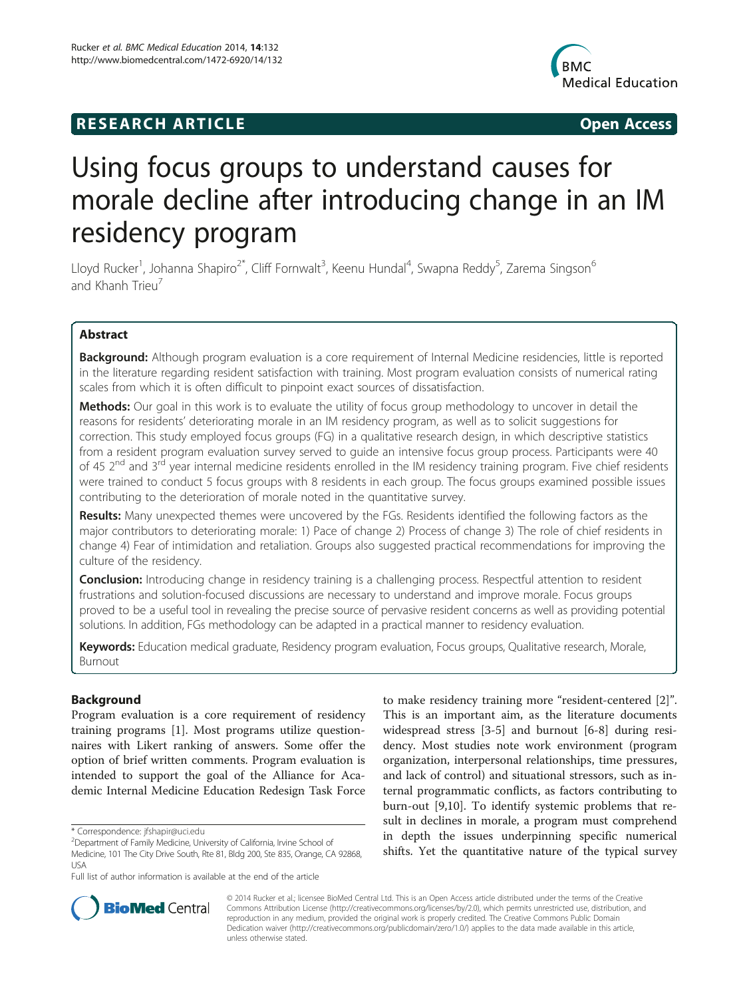# **RESEARCH ARTICLE Example 2014 CONSIDERING CONSIDERING CONSIDERING CONSIDERING CONSIDERING CONSIDERING CONSIDERING CONSIDERING CONSIDERING CONSIDERING CONSIDERING CONSIDERING CONSIDERING CONSIDERING CONSIDERING CONSIDE**



# Using focus groups to understand causes for morale decline after introducing change in an IM residency program

Lloyd Rucker<sup>1</sup>, Johanna Shapiro<sup>2\*</sup>, Cliff Fornwalt<sup>3</sup>, Keenu Hundal<sup>4</sup>, Swapna Reddy<sup>5</sup>, Zarema Singson<sup>6</sup> and Khanh Trieu<sup>7</sup>

# Abstract

Background: Although program evaluation is a core requirement of Internal Medicine residencies, little is reported in the literature regarding resident satisfaction with training. Most program evaluation consists of numerical rating scales from which it is often difficult to pinpoint exact sources of dissatisfaction.

Methods: Our goal in this work is to evaluate the utility of focus group methodology to uncover in detail the reasons for residents' deteriorating morale in an IM residency program, as well as to solicit suggestions for correction. This study employed focus groups (FG) in a qualitative research design, in which descriptive statistics from a resident program evaluation survey served to guide an intensive focus group process. Participants were 40 of 45 2<sup>nd</sup> and 3<sup>rd</sup> year internal medicine residents enrolled in the IM residency training program. Five chief residents were trained to conduct 5 focus groups with 8 residents in each group. The focus groups examined possible issues contributing to the deterioration of morale noted in the quantitative survey.

Results: Many unexpected themes were uncovered by the FGs. Residents identified the following factors as the major contributors to deteriorating morale: 1) Pace of change 2) Process of change 3) The role of chief residents in change 4) Fear of intimidation and retaliation. Groups also suggested practical recommendations for improving the culture of the residency.

Conclusion: Introducing change in residency training is a challenging process. Respectful attention to resident frustrations and solution-focused discussions are necessary to understand and improve morale. Focus groups proved to be a useful tool in revealing the precise source of pervasive resident concerns as well as providing potential solutions. In addition, FGs methodology can be adapted in a practical manner to residency evaluation.

Keywords: Education medical graduate, Residency program evaluation, Focus groups, Qualitative research, Morale, Burnout

# Background

Program evaluation is a core requirement of residency training programs [\[1](#page-5-0)]. Most programs utilize questionnaires with Likert ranking of answers. Some offer the option of brief written comments. Program evaluation is intended to support the goal of the Alliance for Academic Internal Medicine Education Redesign Task Force

\* Correspondence: [jfshapir@uci.edu](mailto:jfshapir@uci.edu) <sup>2</sup>

to make residency training more "resident-centered [[2\]](#page-5-0)". This is an important aim, as the literature documents widespread stress [[3-5\]](#page-5-0) and burnout [[6-8](#page-5-0)] during residency. Most studies note work environment (program organization, interpersonal relationships, time pressures, and lack of control) and situational stressors, such as internal programmatic conflicts, as factors contributing to burn-out [[9,10\]](#page-5-0). To identify systemic problems that result in declines in morale, a program must comprehend in depth the issues underpinning specific numerical shifts. Yet the quantitative nature of the typical survey



© 2014 Rucker et al.; licensee BioMed Central Ltd. This is an Open Access article distributed under the terms of the Creative Commons Attribution License [\(http://creativecommons.org/licenses/by/2.0\)](http://creativecommons.org/licenses/by/2.0), which permits unrestricted use, distribution, and reproduction in any medium, provided the original work is properly credited. The Creative Commons Public Domain Dedication waiver [\(http://creativecommons.org/publicdomain/zero/1.0/](http://creativecommons.org/publicdomain/zero/1.0/)) applies to the data made available in this article, unless otherwise stated.

Department of Family Medicine, University of California, Irvine School of Medicine, 101 The City Drive South, Rte 81, Bldg 200, Ste 835, Orange, CA 92868, USA

Full list of author information is available at the end of the article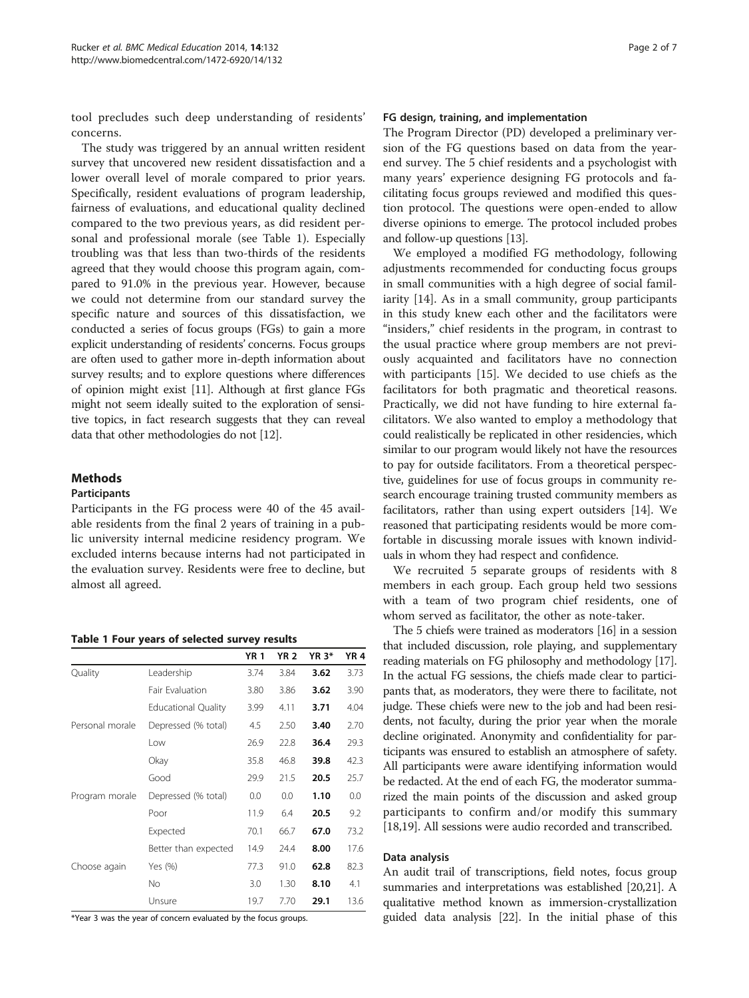<span id="page-1-0"></span>tool precludes such deep understanding of residents' concerns.

The study was triggered by an annual written resident survey that uncovered new resident dissatisfaction and a lower overall level of morale compared to prior years. Specifically, resident evaluations of program leadership, fairness of evaluations, and educational quality declined compared to the two previous years, as did resident personal and professional morale (see Table 1). Especially troubling was that less than two-thirds of the residents agreed that they would choose this program again, compared to 91.0% in the previous year. However, because we could not determine from our standard survey the specific nature and sources of this dissatisfaction, we conducted a series of focus groups (FGs) to gain a more explicit understanding of residents' concerns. Focus groups are often used to gather more in-depth information about survey results; and to explore questions where differences of opinion might exist [\[11\]](#page-5-0). Although at first glance FGs might not seem ideally suited to the exploration of sensitive topics, in fact research suggests that they can reveal data that other methodologies do not [\[12](#page-5-0)].

# Methods

# Participants

Participants in the FG process were 40 of the 45 available residents from the final 2 years of training in a public university internal medicine residency program. We excluded interns because interns had not participated in the evaluation survey. Residents were free to decline, but almost all agreed.

Table 1 Four years of selected survey results

|                 |                            | <b>YR1</b> | <b>YR 2</b> | <b>YR 3*</b> | <b>YR4</b> |
|-----------------|----------------------------|------------|-------------|--------------|------------|
| Quality         | Leadership                 | 3.74       | 3.84        | 3.62         | 3.73       |
|                 | Fair Evaluation            | 3.80       | 3.86        | 3.62         | 3.90       |
|                 | <b>Educational Quality</b> | 3.99       | 4.11        | 3.71         | 4.04       |
| Personal morale | Depressed (% total)        | 4.5        | 2.50        | 3.40         | 2.70       |
|                 | Low                        | 26.9       | 22.8        | 36.4         | 29.3       |
|                 | Okay                       | 35.8       | 46.8        | 39.8         | 42.3       |
|                 | Good                       | 29.9       | 21.5        | 20.5         | 25.7       |
| Program morale  | Depressed (% total)        | 0.0        | 0.0         | 1.10         | 0.0        |
|                 | Poor                       | 11.9       | 6.4         | 20.5         | 9.2        |
|                 | Expected                   | 70.1       | 66.7        | 67.0         | 73.2       |
|                 | Better than expected       | 14.9       | 24.4        | 8.00         | 17.6       |
| Choose again    | Yes (%)                    | 77.3       | 91.0        | 62.8         | 82.3       |
|                 | No.                        | 3.0        | 1.30        | 8.10         | 4.1        |
|                 | Unsure                     | 19.7       | 7.70        | 29.1         | 13.6       |

\*Year 3 was the year of concern evaluated by the focus groups.

#### FG design, training, and implementation

The Program Director (PD) developed a preliminary version of the FG questions based on data from the yearend survey. The 5 chief residents and a psychologist with many years' experience designing FG protocols and facilitating focus groups reviewed and modified this question protocol. The questions were open-ended to allow diverse opinions to emerge. The protocol included probes and follow-up questions [\[13\]](#page-6-0).

We employed a modified FG methodology, following adjustments recommended for conducting focus groups in small communities with a high degree of social familiarity [\[14](#page-6-0)]. As in a small community, group participants in this study knew each other and the facilitators were "insiders," chief residents in the program, in contrast to the usual practice where group members are not previously acquainted and facilitators have no connection with participants [\[15\]](#page-6-0). We decided to use chiefs as the facilitators for both pragmatic and theoretical reasons. Practically, we did not have funding to hire external facilitators. We also wanted to employ a methodology that could realistically be replicated in other residencies, which similar to our program would likely not have the resources to pay for outside facilitators. From a theoretical perspective, guidelines for use of focus groups in community research encourage training trusted community members as facilitators, rather than using expert outsiders [[14](#page-6-0)]. We reasoned that participating residents would be more comfortable in discussing morale issues with known individuals in whom they had respect and confidence.

We recruited 5 separate groups of residents with 8 members in each group. Each group held two sessions with a team of two program chief residents, one of whom served as facilitator, the other as note-taker.

The 5 chiefs were trained as moderators [[16](#page-6-0)] in a session that included discussion, role playing, and supplementary reading materials on FG philosophy and methodology [[17](#page-6-0)]. In the actual FG sessions, the chiefs made clear to participants that, as moderators, they were there to facilitate, not judge. These chiefs were new to the job and had been residents, not faculty, during the prior year when the morale decline originated. Anonymity and confidentiality for participants was ensured to establish an atmosphere of safety. All participants were aware identifying information would be redacted. At the end of each FG, the moderator summarized the main points of the discussion and asked group participants to confirm and/or modify this summary [[18](#page-6-0),[19](#page-6-0)]. All sessions were audio recorded and transcribed.

#### Data analysis

An audit trail of transcriptions, field notes, focus group summaries and interpretations was established [[20,21\]](#page-6-0). A qualitative method known as immersion-crystallization guided data analysis [[22](#page-6-0)]. In the initial phase of this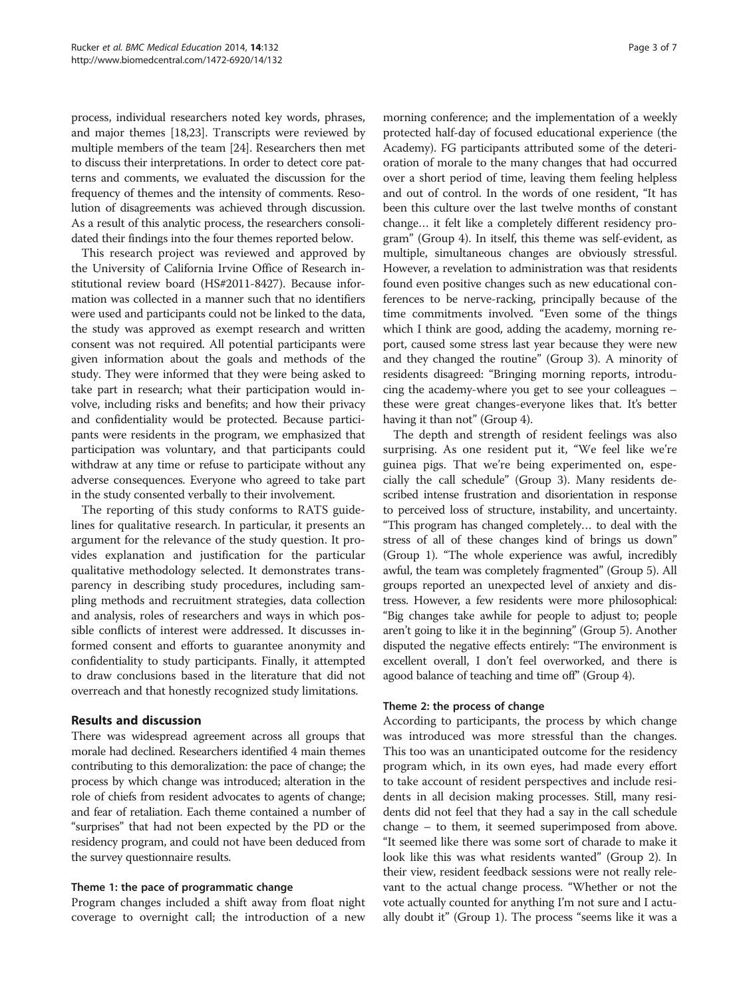process, individual researchers noted key words, phrases, and major themes [[18,23\]](#page-6-0). Transcripts were reviewed by multiple members of the team [[24](#page-6-0)]. Researchers then met to discuss their interpretations. In order to detect core patterns and comments, we evaluated the discussion for the frequency of themes and the intensity of comments. Resolution of disagreements was achieved through discussion. As a result of this analytic process, the researchers consolidated their findings into the four themes reported below.

This research project was reviewed and approved by the University of California Irvine Office of Research institutional review board (HS#2011-8427). Because information was collected in a manner such that no identifiers were used and participants could not be linked to the data, the study was approved as exempt research and written consent was not required. All potential participants were given information about the goals and methods of the study. They were informed that they were being asked to take part in research; what their participation would involve, including risks and benefits; and how their privacy and confidentiality would be protected. Because participants were residents in the program, we emphasized that participation was voluntary, and that participants could withdraw at any time or refuse to participate without any adverse consequences. Everyone who agreed to take part in the study consented verbally to their involvement.

The reporting of this study conforms to RATS guidelines for qualitative research. In particular, it presents an argument for the relevance of the study question. It provides explanation and justification for the particular qualitative methodology selected. It demonstrates transparency in describing study procedures, including sampling methods and recruitment strategies, data collection and analysis, roles of researchers and ways in which possible conflicts of interest were addressed. It discusses informed consent and efforts to guarantee anonymity and confidentiality to study participants. Finally, it attempted to draw conclusions based in the literature that did not overreach and that honestly recognized study limitations.

# Results and discussion

There was widespread agreement across all groups that morale had declined. Researchers identified 4 main themes contributing to this demoralization: the pace of change; the process by which change was introduced; alteration in the role of chiefs from resident advocates to agents of change; and fear of retaliation. Each theme contained a number of "surprises" that had not been expected by the PD or the residency program, and could not have been deduced from the survey questionnaire results.

# Theme 1: the pace of programmatic change

Program changes included a shift away from float night coverage to overnight call; the introduction of a new

morning conference; and the implementation of a weekly protected half-day of focused educational experience (the Academy). FG participants attributed some of the deterioration of morale to the many changes that had occurred over a short period of time, leaving them feeling helpless and out of control. In the words of one resident, "It has been this culture over the last twelve months of constant change… it felt like a completely different residency program" (Group 4). In itself, this theme was self-evident, as multiple, simultaneous changes are obviously stressful. However, a revelation to administration was that residents found even positive changes such as new educational conferences to be nerve-racking, principally because of the time commitments involved. "Even some of the things which I think are good, adding the academy, morning report, caused some stress last year because they were new and they changed the routine" (Group 3). A minority of residents disagreed: "Bringing morning reports, introducing the academy-where you get to see your colleagues – these were great changes-everyone likes that. It's better having it than not" (Group 4).

The depth and strength of resident feelings was also surprising. As one resident put it, "We feel like we're guinea pigs. That we're being experimented on, especially the call schedule" (Group 3). Many residents described intense frustration and disorientation in response to perceived loss of structure, instability, and uncertainty. "This program has changed completely… to deal with the stress of all of these changes kind of brings us down" (Group 1). "The whole experience was awful, incredibly awful, the team was completely fragmented" (Group 5). All groups reported an unexpected level of anxiety and distress. However, a few residents were more philosophical: "Big changes take awhile for people to adjust to; people aren't going to like it in the beginning" (Group 5). Another disputed the negative effects entirely: "The environment is excellent overall, I don't feel overworked, and there is agood balance of teaching and time off" (Group 4).

# Theme 2: the process of change

According to participants, the process by which change was introduced was more stressful than the changes. This too was an unanticipated outcome for the residency program which, in its own eyes, had made every effort to take account of resident perspectives and include residents in all decision making processes. Still, many residents did not feel that they had a say in the call schedule change – to them, it seemed superimposed from above. "It seemed like there was some sort of charade to make it look like this was what residents wanted" (Group 2). In their view, resident feedback sessions were not really relevant to the actual change process. "Whether or not the vote actually counted for anything I'm not sure and I actually doubt it" (Group 1). The process "seems like it was a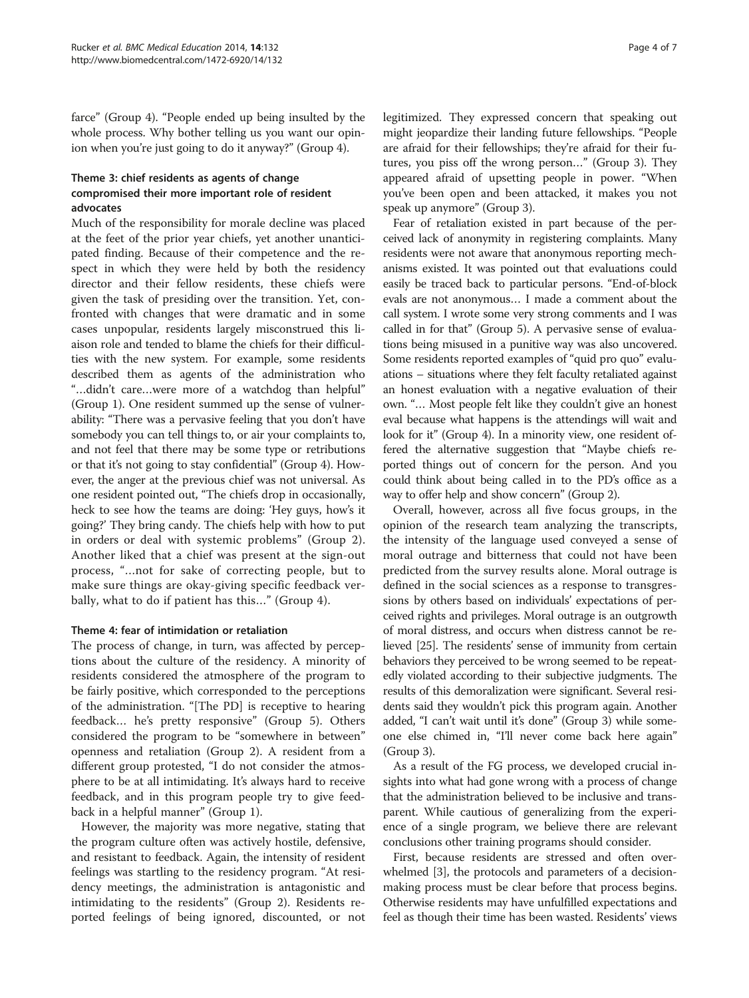farce" (Group 4). "People ended up being insulted by the whole process. Why bother telling us you want our opinion when you're just going to do it anyway?" (Group 4).

# Theme 3: chief residents as agents of change compromised their more important role of resident advocates

Much of the responsibility for morale decline was placed at the feet of the prior year chiefs, yet another unanticipated finding. Because of their competence and the respect in which they were held by both the residency director and their fellow residents, these chiefs were given the task of presiding over the transition. Yet, confronted with changes that were dramatic and in some cases unpopular, residents largely misconstrued this liaison role and tended to blame the chiefs for their difficulties with the new system. For example, some residents described them as agents of the administration who "…didn't care…were more of a watchdog than helpful" (Group 1). One resident summed up the sense of vulnerability: "There was a pervasive feeling that you don't have somebody you can tell things to, or air your complaints to, and not feel that there may be some type or retributions or that it's not going to stay confidential" (Group 4). However, the anger at the previous chief was not universal. As one resident pointed out, "The chiefs drop in occasionally, heck to see how the teams are doing: 'Hey guys, how's it going?' They bring candy. The chiefs help with how to put in orders or deal with systemic problems" (Group 2). Another liked that a chief was present at the sign-out process, "…not for sake of correcting people, but to make sure things are okay-giving specific feedback verbally, what to do if patient has this…" (Group 4).

# Theme 4: fear of intimidation or retaliation

The process of change, in turn, was affected by perceptions about the culture of the residency. A minority of residents considered the atmosphere of the program to be fairly positive, which corresponded to the perceptions of the administration. "[The PD] is receptive to hearing feedback… he's pretty responsive" (Group 5). Others considered the program to be "somewhere in between" openness and retaliation (Group 2). A resident from a different group protested, "I do not consider the atmosphere to be at all intimidating. It's always hard to receive feedback, and in this program people try to give feedback in a helpful manner" (Group 1).

However, the majority was more negative, stating that the program culture often was actively hostile, defensive, and resistant to feedback. Again, the intensity of resident feelings was startling to the residency program. "At residency meetings, the administration is antagonistic and intimidating to the residents" (Group 2). Residents reported feelings of being ignored, discounted, or not legitimized. They expressed concern that speaking out might jeopardize their landing future fellowships. "People are afraid for their fellowships; they're afraid for their futures, you piss off the wrong person…" (Group 3). They appeared afraid of upsetting people in power. "When you've been open and been attacked, it makes you not speak up anymore" (Group 3).

Fear of retaliation existed in part because of the perceived lack of anonymity in registering complaints. Many residents were not aware that anonymous reporting mechanisms existed. It was pointed out that evaluations could easily be traced back to particular persons. "End-of-block evals are not anonymous… I made a comment about the call system. I wrote some very strong comments and I was called in for that" (Group 5). A pervasive sense of evaluations being misused in a punitive way was also uncovered. Some residents reported examples of "quid pro quo" evaluations – situations where they felt faculty retaliated against an honest evaluation with a negative evaluation of their own. "… Most people felt like they couldn't give an honest eval because what happens is the attendings will wait and look for it" (Group 4). In a minority view, one resident offered the alternative suggestion that "Maybe chiefs reported things out of concern for the person. And you could think about being called in to the PD's office as a way to offer help and show concern" (Group 2).

Overall, however, across all five focus groups, in the opinion of the research team analyzing the transcripts, the intensity of the language used conveyed a sense of moral outrage and bitterness that could not have been predicted from the survey results alone. Moral outrage is defined in the social sciences as a response to transgressions by others based on individuals' expectations of perceived rights and privileges. Moral outrage is an outgrowth of moral distress, and occurs when distress cannot be relieved [\[25\]](#page-6-0). The residents' sense of immunity from certain behaviors they perceived to be wrong seemed to be repeatedly violated according to their subjective judgments. The results of this demoralization were significant. Several residents said they wouldn't pick this program again. Another added, "I can't wait until it's done" (Group 3) while someone else chimed in, "I'll never come back here again" (Group 3).

As a result of the FG process, we developed crucial insights into what had gone wrong with a process of change that the administration believed to be inclusive and transparent. While cautious of generalizing from the experience of a single program, we believe there are relevant conclusions other training programs should consider.

First, because residents are stressed and often overwhelmed [\[3](#page-5-0)], the protocols and parameters of a decisionmaking process must be clear before that process begins. Otherwise residents may have unfulfilled expectations and feel as though their time has been wasted. Residents' views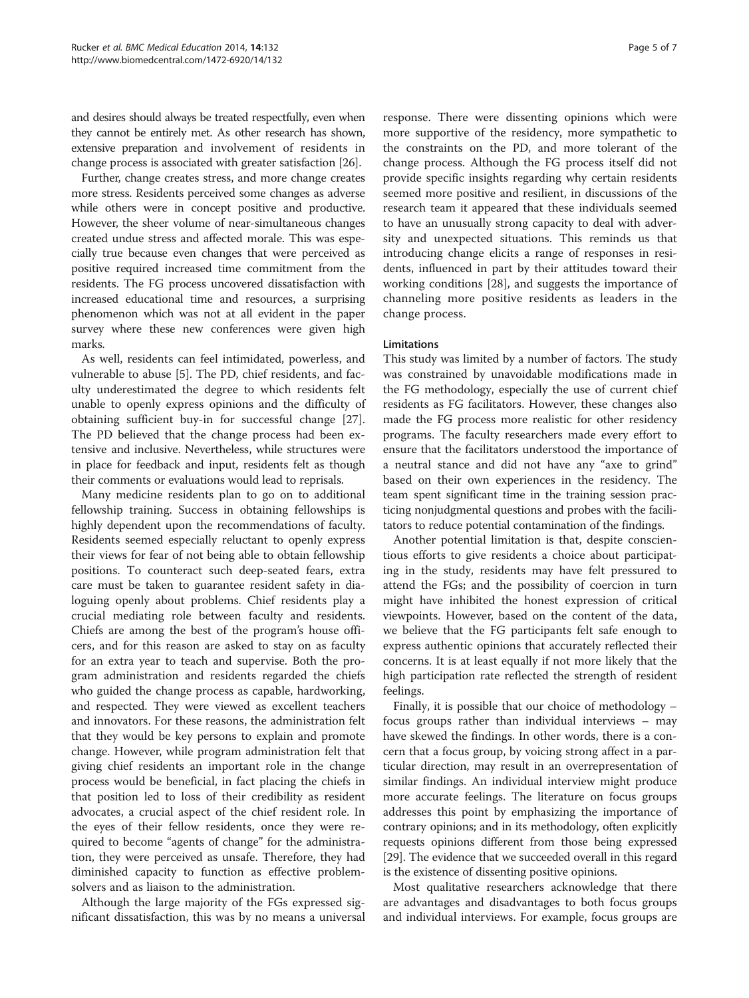and desires should always be treated respectfully, even when they cannot be entirely met. As other research has shown, extensive preparation and involvement of residents in change process is associated with greater satisfaction [[26](#page-6-0)].

Further, change creates stress, and more change creates more stress. Residents perceived some changes as adverse while others were in concept positive and productive. However, the sheer volume of near-simultaneous changes created undue stress and affected morale. This was especially true because even changes that were perceived as positive required increased time commitment from the residents. The FG process uncovered dissatisfaction with increased educational time and resources, a surprising phenomenon which was not at all evident in the paper survey where these new conferences were given high marks.

As well, residents can feel intimidated, powerless, and vulnerable to abuse [[5\]](#page-5-0). The PD, chief residents, and faculty underestimated the degree to which residents felt unable to openly express opinions and the difficulty of obtaining sufficient buy-in for successful change [\[27](#page-6-0)]. The PD believed that the change process had been extensive and inclusive. Nevertheless, while structures were in place for feedback and input, residents felt as though their comments or evaluations would lead to reprisals.

Many medicine residents plan to go on to additional fellowship training. Success in obtaining fellowships is highly dependent upon the recommendations of faculty. Residents seemed especially reluctant to openly express their views for fear of not being able to obtain fellowship positions. To counteract such deep-seated fears, extra care must be taken to guarantee resident safety in dialoguing openly about problems. Chief residents play a crucial mediating role between faculty and residents. Chiefs are among the best of the program's house officers, and for this reason are asked to stay on as faculty for an extra year to teach and supervise. Both the program administration and residents regarded the chiefs who guided the change process as capable, hardworking, and respected. They were viewed as excellent teachers and innovators. For these reasons, the administration felt that they would be key persons to explain and promote change. However, while program administration felt that giving chief residents an important role in the change process would be beneficial, in fact placing the chiefs in that position led to loss of their credibility as resident advocates, a crucial aspect of the chief resident role. In the eyes of their fellow residents, once they were required to become "agents of change" for the administration, they were perceived as unsafe. Therefore, they had diminished capacity to function as effective problemsolvers and as liaison to the administration.

Although the large majority of the FGs expressed significant dissatisfaction, this was by no means a universal

response. There were dissenting opinions which were more supportive of the residency, more sympathetic to the constraints on the PD, and more tolerant of the change process. Although the FG process itself did not provide specific insights regarding why certain residents seemed more positive and resilient, in discussions of the research team it appeared that these individuals seemed to have an unusually strong capacity to deal with adversity and unexpected situations. This reminds us that introducing change elicits a range of responses in residents, influenced in part by their attitudes toward their working conditions [[28](#page-6-0)], and suggests the importance of channeling more positive residents as leaders in the change process.

#### **Limitations**

This study was limited by a number of factors. The study was constrained by unavoidable modifications made in the FG methodology, especially the use of current chief residents as FG facilitators. However, these changes also made the FG process more realistic for other residency programs. The faculty researchers made every effort to ensure that the facilitators understood the importance of a neutral stance and did not have any "axe to grind" based on their own experiences in the residency. The team spent significant time in the training session practicing nonjudgmental questions and probes with the facilitators to reduce potential contamination of the findings.

Another potential limitation is that, despite conscientious efforts to give residents a choice about participating in the study, residents may have felt pressured to attend the FGs; and the possibility of coercion in turn might have inhibited the honest expression of critical viewpoints. However, based on the content of the data, we believe that the FG participants felt safe enough to express authentic opinions that accurately reflected their concerns. It is at least equally if not more likely that the high participation rate reflected the strength of resident feelings.

Finally, it is possible that our choice of methodology – focus groups rather than individual interviews – may have skewed the findings. In other words, there is a concern that a focus group, by voicing strong affect in a particular direction, may result in an overrepresentation of similar findings. An individual interview might produce more accurate feelings. The literature on focus groups addresses this point by emphasizing the importance of contrary opinions; and in its methodology, often explicitly requests opinions different from those being expressed [[29](#page-6-0)]. The evidence that we succeeded overall in this regard is the existence of dissenting positive opinions.

Most qualitative researchers acknowledge that there are advantages and disadvantages to both focus groups and individual interviews. For example, focus groups are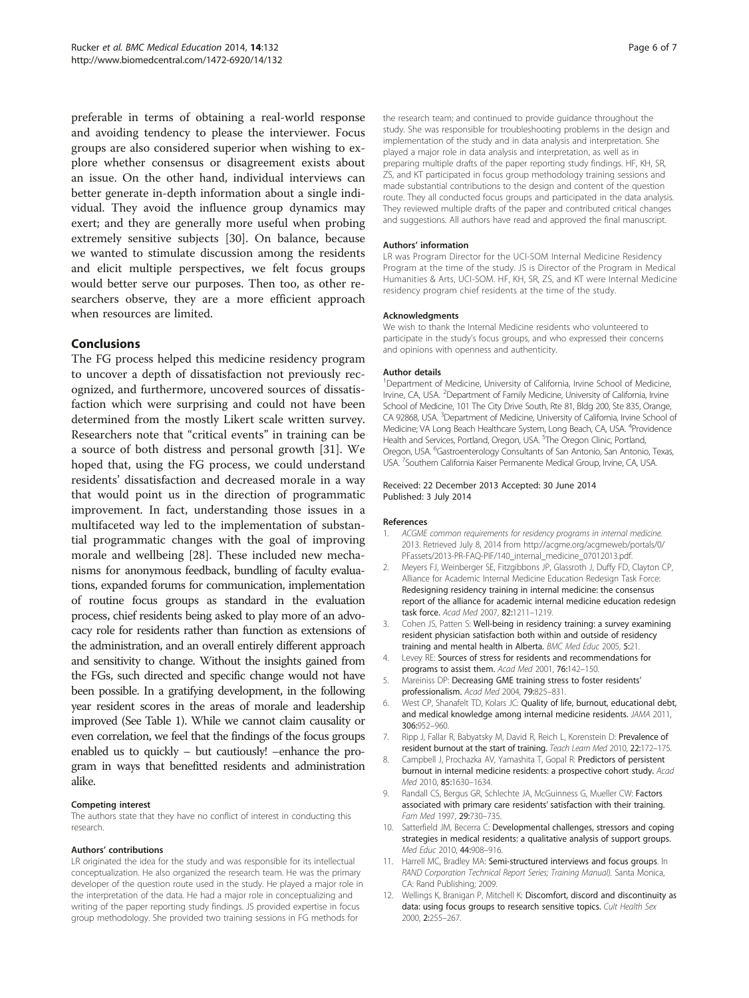<span id="page-5-0"></span>preferable in terms of obtaining a real-world response and avoiding tendency to please the interviewer. Focus groups are also considered superior when wishing to explore whether consensus or disagreement exists about an issue. On the other hand, individual interviews can better generate in-depth information about a single individual. They avoid the influence group dynamics may exert; and they are generally more useful when probing extremely sensitive subjects [\[30](#page-6-0)]. On balance, because we wanted to stimulate discussion among the residents and elicit multiple perspectives, we felt focus groups would better serve our purposes. Then too, as other researchers observe, they are a more efficient approach when resources are limited.

# Conclusions

The FG process helped this medicine residency program to uncover a depth of dissatisfaction not previously recognized, and furthermore, uncovered sources of dissatisfaction which were surprising and could not have been determined from the mostly Likert scale written survey. Researchers note that "critical events" in training can be a source of both distress and personal growth [\[31](#page-6-0)]. We hoped that, using the FG process, we could understand residents' dissatisfaction and decreased morale in a way that would point us in the direction of programmatic improvement. In fact, understanding those issues in a multifaceted way led to the implementation of substantial programmatic changes with the goal of improving morale and wellbeing [\[28](#page-6-0)]. These included new mechanisms for anonymous feedback, bundling of faculty evaluations, expanded forums for communication, implementation of routine focus groups as standard in the evaluation process, chief residents being asked to play more of an advocacy role for residents rather than function as extensions of the administration, and an overall entirely different approach and sensitivity to change. Without the insights gained from the FGs, such directed and specific change would not have been possible. In a gratifying development, in the following year resident scores in the areas of morale and leadership improved (See Table [1\)](#page-1-0). While we cannot claim causality or even correlation, we feel that the findings of the focus groups enabled us to quickly – but cautiously! –enhance the program in ways that benefitted residents and administration alike.

#### Competing interest

The authors state that they have no conflict of interest in conducting this research.

#### Authors' contributions

LR originated the idea for the study and was responsible for its intellectual conceptualization. He also organized the research team. He was the primary developer of the question route used in the study. He played a major role in the interpretation of the data. He had a major role in conceptualizing and writing of the paper reporting study findings. JS provided expertise in focus group methodology. She provided two training sessions in FG methods for

the research team; and continued to provide guidance throughout the study. She was responsible for troubleshooting problems in the design and implementation of the study and in data analysis and interpretation. She played a major role in data analysis and interpretation, as well as in preparing multiple drafts of the paper reporting study findings. HF, KH, SR, ZS, and KT participated in focus group methodology training sessions and made substantial contributions to the design and content of the question route. They all conducted focus groups and participated in the data analysis. They reviewed multiple drafts of the paper and contributed critical changes and suggestions. All authors have read and approved the final manuscript.

#### Authors' information

LR was Program Director for the UCI-SOM Internal Medicine Residency Program at the time of the study. JS is Director of the Program in Medical Humanities & Arts, UCI-SOM. HF, KH, SR, ZS, and KT were Internal Medicine residency program chief residents at the time of the study.

#### Acknowledgments

We wish to thank the Internal Medicine residents who volunteered to participate in the study's focus groups, and who expressed their concerns and opinions with openness and authenticity.

#### Author details

<sup>1</sup>Department of Medicine, University of California, Irvine School of Medicine, Irvine, CA, USA. <sup>2</sup>Department of Family Medicine, University of California, Irvine School of Medicine, 101 The City Drive South, Rte 81, Bldg 200, Ste 835, Orange, CA 92868, USA. <sup>3</sup>Department of Medicine, University of California, Irvine School of Medicine; VA Long Beach Healthcare System, Long Beach, CA, USA. <sup>4</sup>Providence Health and Services, Portland, Oregon, USA. <sup>5</sup>The Oregon Clinic, Portland Oregon, USA. <sup>6</sup> Gastroenterology Consultants of San Antonio, San Antonio, Texas, USA. <sup>7</sup>Southern California Kaiser Permanente Medical Group, Irvine, CA, USA

#### Received: 22 December 2013 Accepted: 30 June 2014 Published: 3 July 2014

#### References

- 1. ACGME common requirements for residency programs in internal medicine. 2013. Retrieved July 8, 2014 from [http://acgme.org/acgmeweb/portals/0/](http://acgme.org/acgmeweb/portals/0/PFassets/2013-PR-FAQ-PIF/140_internal_medicine_07012013.pdf) [PFassets/2013-PR-FAQ-PIF/140\\_internal\\_medicine\\_07012013.pdf](http://acgme.org/acgmeweb/portals/0/PFassets/2013-PR-FAQ-PIF/140_internal_medicine_07012013.pdf).
- 2. Meyers FJ, Weinberger SE, Fitzgibbons JP, Glassroth J, Duffy FD, Clayton CP, Alliance for Academic Internal Medicine Education Redesign Task Force: Redesigning residency training in internal medicine: the consensus report of the alliance for academic internal medicine education redesign task force. Acad Med 2007, 82:1211–1219.
- 3. Cohen JS, Patten S: Well-being in residency training: a survey examining resident physician satisfaction both within and outside of residency training and mental health in Alberta. BMC Med Educ 2005, 5:21
- 4. Levey RE: Sources of stress for residents and recommendations for programs to assist them. Acad Med 2001, 76:142–150.
- 5. Mareiniss DP: Decreasing GME training stress to foster residents' professionalism. Acad Med 2004, 79:825–831.
- 6. West CP, Shanafelt TD, Kolars JC: Quality of life, burnout, educational debt, and medical knowledge among internal medicine residents. JAMA 2011, 306:952–960.
- Ripp J, Fallar R, Babyatsky M, David R, Reich L, Korenstein D: Prevalence of resident burnout at the start of training. Teach Learn Med 2010, 22:172–175.
- 8. Campbell J, Prochazka AV, Yamashita T, Gopal R: Predictors of persistent burnout in internal medicine residents: a prospective cohort study. Acad Med 2010, 85:1630–1634.
- 9. Randall CS, Bergus GR, Schlechte JA, McGuinness G, Mueller CW: Factors associated with primary care residents' satisfaction with their training. Fam Med 1997, 29:730–735.
- 10. Satterfield JM, Becerra C: Developmental challenges, stressors and coping strategies in medical residents: a qualitative analysis of support groups. Med Educ 2010, 44:908-916.
- 11. Harrell MC, Bradley MA: Semi-structured interviews and focus groups. In RAND Corporation Technical Report Series; Training Manual). Santa Monica, CA: Rand Publishing; 2009.
- 12. Wellings K, Branigan P, Mitchell K: Discomfort, discord and discontinuity as data: using focus groups to research sensitive topics. Cult Health Sex 2000, 2:255–267.